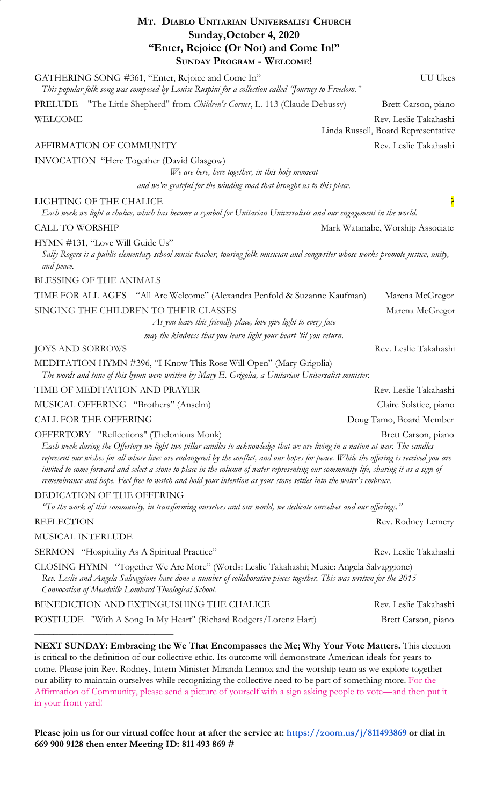# **MT. DIABLO UNITARIAN UNIVERSALIST CHURCH Sunday,October 4, 2020 "Enter, Rejoice (Or Not) and Come In!" SUNDAY PROGRAM - WELCOME!**

| JUNDAI I ROGRAM - WELCOME.                                                                                                                                                                                                                                                                                                                                                                                                                                                                                                                                                       |                                                              |
|----------------------------------------------------------------------------------------------------------------------------------------------------------------------------------------------------------------------------------------------------------------------------------------------------------------------------------------------------------------------------------------------------------------------------------------------------------------------------------------------------------------------------------------------------------------------------------|--------------------------------------------------------------|
| GATHERING SONG #361, "Enter, Rejoice and Come In"<br>This popular folk song was composed by Louise Ruspini for a collection called "Journey to Freedom."                                                                                                                                                                                                                                                                                                                                                                                                                         | <b>UU Ukes</b>                                               |
| "The Little Shepherd" from <i>Children's Corner</i> , L. 113 (Claude Debussy)<br>PRELUDE                                                                                                                                                                                                                                                                                                                                                                                                                                                                                         | Brett Carson, piano                                          |
| WELCOME                                                                                                                                                                                                                                                                                                                                                                                                                                                                                                                                                                          | Rev. Leslie Takahashi<br>Linda Russell, Board Representative |
| AFFIRMATION OF COMMUNITY                                                                                                                                                                                                                                                                                                                                                                                                                                                                                                                                                         | Rev. Leslie Takahashi                                        |
| <b>INVOCATION</b> "Here Together (David Glasgow)<br>We are here, here together, in this holy moment                                                                                                                                                                                                                                                                                                                                                                                                                                                                              |                                                              |
| and we're grateful for the winding road that brought us to this place.                                                                                                                                                                                                                                                                                                                                                                                                                                                                                                           |                                                              |
| LIGHTING OF THE CHALICE<br>Each week we light a chalice, which has become a symbol for Unitarian Universalists and our engagement in the world.                                                                                                                                                                                                                                                                                                                                                                                                                                  | P.                                                           |
| <b>CALL TO WORSHIP</b>                                                                                                                                                                                                                                                                                                                                                                                                                                                                                                                                                           | Mark Watanabe, Worship Associate                             |
| HYMN #131, "Love Will Guide Us"<br>Sally Rogers is a public elementary school music teacher, touring folk musician and songwriter whose works promote justice, unity,<br>and peace.                                                                                                                                                                                                                                                                                                                                                                                              |                                                              |
| <b>BLESSING OF THE ANIMALS</b>                                                                                                                                                                                                                                                                                                                                                                                                                                                                                                                                                   |                                                              |
| TIME FOR ALL AGES "All Are Welcome" (Alexandra Penfold & Suzanne Kaufman)                                                                                                                                                                                                                                                                                                                                                                                                                                                                                                        | Marena McGregor                                              |
| SINGING THE CHILDREN TO THEIR CLASSES<br>As you leave this friendly place, love give light to every face<br>may the kindness that you learn light your heart 'til you return.                                                                                                                                                                                                                                                                                                                                                                                                    | Marena McGregor                                              |
| <b>JOYS AND SORROWS</b>                                                                                                                                                                                                                                                                                                                                                                                                                                                                                                                                                          | Rev. Leslie Takahashi                                        |
| MEDITATION HYMN #396, "I Know This Rose Will Open" (Mary Grigolia)<br>The words and tune of this hymn were written by Mary E. Grigolia, a Unitarian Universalist minister.                                                                                                                                                                                                                                                                                                                                                                                                       |                                                              |
| TIME OF MEDITATION AND PRAYER                                                                                                                                                                                                                                                                                                                                                                                                                                                                                                                                                    | Rev. Leslie Takahashi                                        |
| MUSICAL OFFERING "Brothers" (Anselm)                                                                                                                                                                                                                                                                                                                                                                                                                                                                                                                                             | Claire Solstice, piano                                       |
| <b>CALL FOR THE OFFERING</b>                                                                                                                                                                                                                                                                                                                                                                                                                                                                                                                                                     | Doug Tamo, Board Member                                      |
| OFFERTORY "Reflections" (Thelonious Monk)<br>Each week during the Offertory we light two pillar candles to acknowledge that we are living in a nation at war. The candles<br>represent our wishes for all whose lives are endangered by the conflict, and our hopes for peace. While the offering is received you are<br>invited to come forward and select a stone to place in the column of water representing our community life, sharing it as a sign of<br>remembrance and hope. Feel free to watch and hold your intention as your stone settles into the water's embrace. | Brett Carson, piano                                          |
| DEDICATION OF THE OFFERING<br>"To the work of this community, in transforming ourselves and our world, we dedicate ourselves and our offerings."                                                                                                                                                                                                                                                                                                                                                                                                                                 |                                                              |
| <b>REFLECTION</b>                                                                                                                                                                                                                                                                                                                                                                                                                                                                                                                                                                | Rev. Rodney Lemery                                           |
| MUSICAL INTERLUDE                                                                                                                                                                                                                                                                                                                                                                                                                                                                                                                                                                |                                                              |
| SERMON "Hospitality As A Spiritual Practice"                                                                                                                                                                                                                                                                                                                                                                                                                                                                                                                                     | Rev. Leslie Takahashi                                        |
| CLOSING HYMN "Together We Are More" (Words: Leslie Takahashi; Music: Angela Salvaggione)<br>Rev. Leslie and Angela Salvaggione have done a number of collaborative pieces together. This was written for the 2015<br>Convocation of Meadville Lombard Theological School.                                                                                                                                                                                                                                                                                                        |                                                              |
| BENEDICTION AND EXTINGUISHING THE CHALICE                                                                                                                                                                                                                                                                                                                                                                                                                                                                                                                                        | Rev. Leslie Takahashi                                        |
| POSTLUDE "With A Song In My Heart" (Richard Rodgers/Lorenz Hart)                                                                                                                                                                                                                                                                                                                                                                                                                                                                                                                 | Brett Carson, piano                                          |

**NEXT SUNDAY: Embracing the We That Encompasses the Me; Why Your Vote Matters.** This election is critical to the definition of our collective ethic. Its outcome will demonstrate American ideals for years to come. Please join Rev. Rodney, Intern Minister Miranda Lennox and the worship team as we explore together our ability to maintain ourselves while recognizing the collective need to be part of something more. For the Affirmation of Community, please send a picture of yourself with a sign asking people to vote—and then put it in your front yard!

*\_\_\_\_\_\_\_\_\_\_\_\_\_\_\_\_\_\_\_\_\_\_\_\_\_\_\_\_\_*

**Please join us for our virtual coffee hour at after the service at:<https://zoom.us/j/811493869> or dial in 669 900 9128 then enter Meeting ID: 811 493 869 #**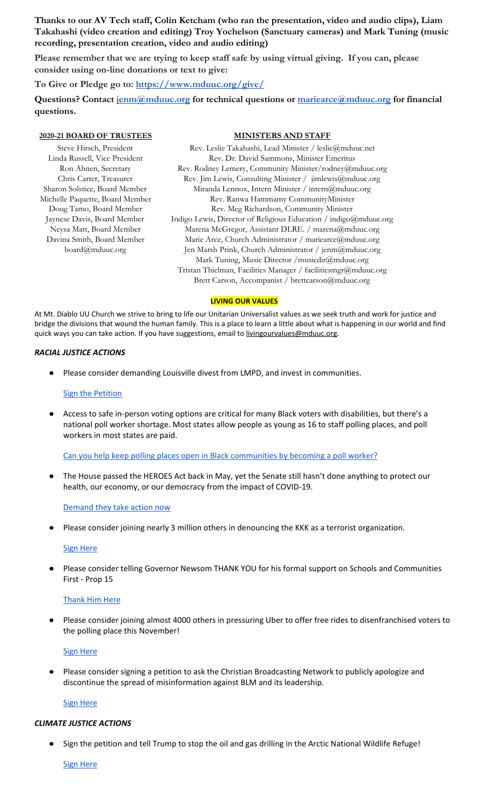**Thanks to our AV Tech staff, Colin Ketcham (who ran the presentation, video and audio clips), Liam Takahashi (video creation and editing) Troy Yochelson (Sanctuary cameras) and Mark Tuning (music recording, presentation creation, video and audio editing)**

**Please remember that we are trying to keep staff safe by using virtual giving. If you can, please consider using on-line donations or text to give:**

# **To Give or Pledge go to: <https://www.mduuc.org/give/>**

**Questions? Contact [jenm@mduuc.org](mailto:jenm@mduuc.org) for technical questions or [mariearce@mduuc.org](mailto:mariearce@mduuc.org) for financial questions.**

#### **2020-21 BOARD OF TRUSTEES MINISTERS AND STAFF**

Steve Hirsch, President Linda Russell, Vice President Ron Ahnen, Secretary Chris Carter, Treasurer Sharon Solstice, Board Member Michelle Paquette, Board Member Doug Tamo, Board Member Jaynese Davis, Board Member Neysa Matt, Board Member Davina Smith, Board Member [board@mduuc.org](mailto:board@mduuc.org)

Rev. Leslie Takahashi, Lead Minister / [leslie@mduuc.n](mailto:leslie@mduuc.org)et Rev. Dr. David Sammons, Minister Emeritus Rev. Rodney Lemery, Community Minister/rodney@mduuc.org Rev. Jim Lewis, Consulting Minister / [jimlewis@mduuc.org](mailto:jimlewis@mduuc.org) Miranda Lennox, Intern Minister / [intern@mduuc.org](mailto:intern@mduuc.org) Rev. Ranwa Hammamy CommunityMinister Rev. Meg Richardson, Community Minister Indigo Lewis, Director of Religious Education / [indigo@mduuc.org](mailto:indigo@mduuc.org) Marena McGregor, Assistant DLRE. / marena@mduuc.org Marie Arce, Church Administrator / mariearce@mduuc.org Jen Marsh Prink, Church Administrator / jenm@mduuc.org Mark Tuning, Music Director /musicdir@mduuc.org Tristan Thielman, Facilities Manager / facilitiesmgr@mduuc.org Brett Carson, Accompanist / brettcarson@mduuc.org

### **LIVING OUR VALUES**

At Mt. Diablo UU Church we strive to bring to life our Unitarian Universalist values as we seek truth and work for justice and bridge the divisions that wound the human family. This is a place to learn a little about what is happening in our world and find quick ways you can take action. If you have suggestions, email to [livingourvalues@mduuc.org](mailto:livingourvalues@mduuc.org).

### *RACIAL JUSTICE ACTIONS*

● Please consider demanding Louisville divest from LMPD, and invest in communities.

# **Sign the [Petition](https://act.colorofchange.org/sign/justiceforbre-breonna-taylor-officers-fired/?t=5&akid=46852%2E6017178%2EQiBElG)**

● Access to safe in-person voting options are critical for many Black voters with disabilities, but there's a national poll worker shortage. Most states allow people as young as 16 to staff polling places, and poll workers in most states are paid.

#### Can you help keep polling places open in Black [communities](https://www.powerthepolls.org/?source=colorofchange) by becoming a poll worker?

● The House passed the HEROES Act back in May, yet the Senate still hasn't done anything to protect our health, our economy, or our democracy from the impact of COVID-19.

#### [Demand](https://act.colorofchange.org/sign/Protect-Our-Democracy?t=9&akid=46808%2E6017178%2EL2EVoM) they take action now

Please consider joining nearly 3 million others in denouncing the KKK as a terrorist organization.

#### **Sign [Here](https://www.change.org/p/department-of-counterterrorism-change-kkk-status-into-terrorist-organization/sign?cs_tk=AmEqEXPzBUL4QGmtZF8AAXicyyvNyQEABF8BvPwpHuNpKZAptKWLXMpxIOY%3D&utm_campaign=cdb754aca17e42d2a9d843daa44e77b8&utm_content=initial_v0_1_1&utm_medium=email&utm_source=aa_sign_ask&utm_term=cs)**

Please consider telling Governor Newsom THANK YOU for his formal support on Schools and Communities First - Prop 15

#### [Thank](https://www.grassrootsactions.org/thankyougovnewsom) Him Here

Please consider joining almost 4000 others in pressuring Uber to offer free rides to disenfranchised voters to the polling place this November!

# **Sign [Here](https://www.change.org/p/uber-help-voters-get-to-the-polls-election-election2020?cs_tk=ApHQj_rRBUL4QLjmY18AAXicyyvNyQEABF8BvMD5CZvSRWcdvohPuvZs-GQ%3D&utm_campaign=51e200ff59514d808fe01b3c0302a0c1&utm_content=initial_v0_0_1&utm_medium=email&utm_source=aa_editorial&utm_term=cs)**

● Please consider signing a petition to ask the Christian Broadcasting Network to publicly apologize and discontinue the spread of misinformation against BLM and its leadership.

# **Sign [Here](https://actionnetwork.org/forms/2009_email_blm_robertson/?source=em20_200912_RobertsonPT&link_id=3&can_id=e575b01c6deb1de262ae6ac4e9aa579a&email_referrer=email_920419&email_subject=demand-a-public-apology-for-pat-robertsons-comments)**

#### *CLIMATE JUSTICE ACTIONS*

Sign the petition and tell Trump to stop the oil and gas drilling in the Arctic National Wildlife Refuge!

**Sign [Here](https://www.signherenow.org/petition/arctic-drilling/every-single-vote/?emci=b795e08d-8af4-ea11-99c3-00155d039e74&emdi=d6ea9a80-32f5-ea11-99c3-00155d039e74&ceid=9333354)**